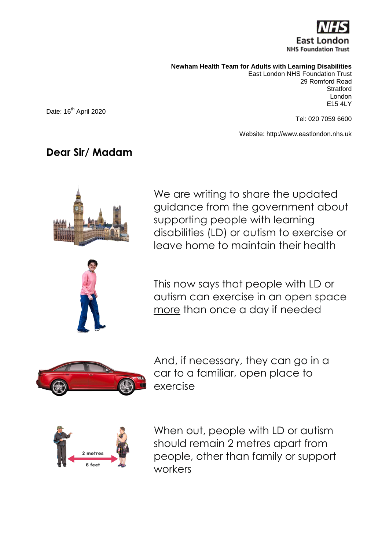

**Newham Health Team for Adults with Learning Disabilities**

East London NHS Foundation Trust 29 Romford Road **Stratford** London E15 4LY

Date: 16<sup>th</sup> April 2020

Tel: 020 7059 6600

Website: http://www.eastlondon.nhs.uk

## **Dear Sir/ Madam**



We are writing to share the updated guidance from the government about supporting people with learning disabilities (LD) or autism to exercise or leave home to maintain their health

This now says that people with LD or autism can exercise in an open space more than once a day if needed



And, if necessary, they can go in a car to a familiar, open place to exercise



When out, people with LD or autism should remain 2 metres apart from people, other than family or support workers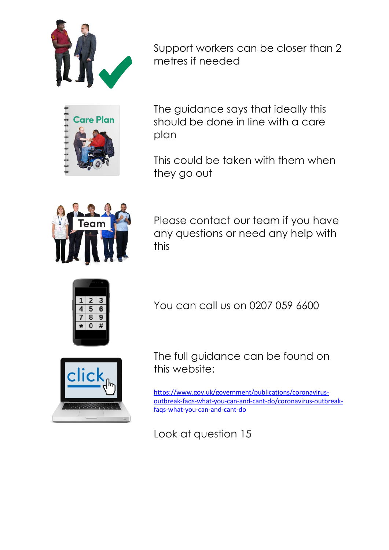

Support workers can be closer than 2 metres if needed



The guidance says that ideally this should be done in line with a care plan

This could be taken with them when they go out



Please contact our team if you have any questions or need any help with this



You can call us on 0207 059 6600

The full guidance can be found on this website:

[https://www.gov.uk/government/publications/coronavirus](https://www.gov.uk/government/publications/coronavirus-outbreak-faqs-what-you-can-and-cant-do/coronavirus-outbreak-faqs-what-you-can-and-cant-do)[outbreak-faqs-what-you-can-and-cant-do/coronavirus-outbreak](https://www.gov.uk/government/publications/coronavirus-outbreak-faqs-what-you-can-and-cant-do/coronavirus-outbreak-faqs-what-you-can-and-cant-do)[faqs-what-you-can-and-cant-do](https://www.gov.uk/government/publications/coronavirus-outbreak-faqs-what-you-can-and-cant-do/coronavirus-outbreak-faqs-what-you-can-and-cant-do)

Look at question 15